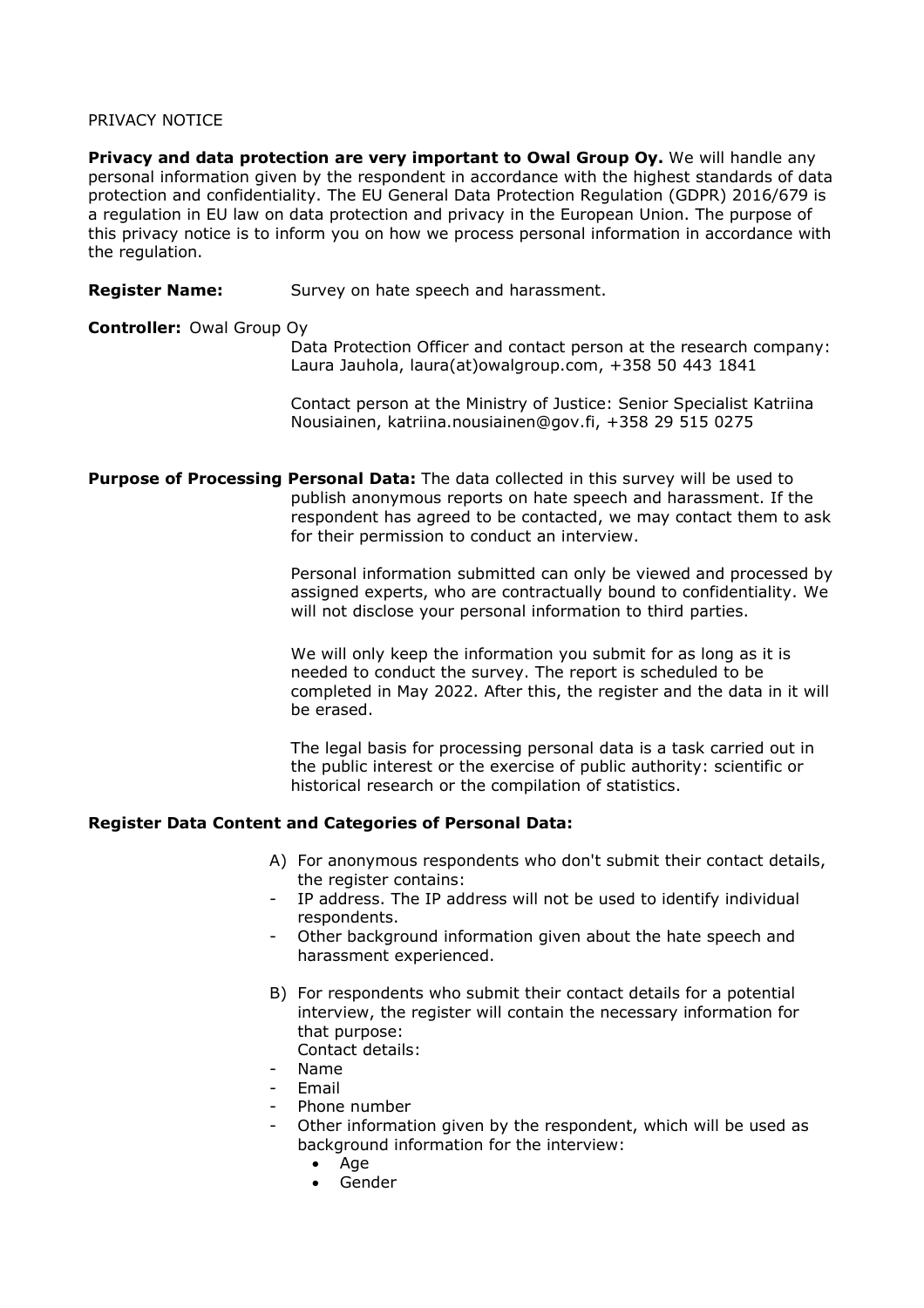## PRIVACY NOTICE

**Privacy and data protection are very important to Owal Group Oy.** We will handle any personal information given by the respondent in accordance with the highest standards of data protection and confidentiality. The EU General Data Protection Regulation (GDPR) 2016/679 is a regulation in EU law on data protection and privacy in the European Union. The purpose of this privacy notice is to inform you on how we process personal information in accordance with the regulation.

**Register Name:** Survey on hate speech and harassment.

## **Controller:** Owal Group Oy

Data Protection Officer and contact person at the research company: Laura Jauhola, laura(at)owalgroup.com, +358 50 443 1841

Contact person at the Ministry of Justice: Senior Specialist Katriina Nousiainen, katriina.nousiainen@gov.fi, +358 29 515 0275

**Purpose of Processing Personal Data:** The data collected in this survey will be used to publish anonymous reports on hate speech and harassment. If the respondent has agreed to be contacted, we may contact them to ask for their permission to conduct an interview.

> Personal information submitted can only be viewed and processed by assigned experts, who are contractually bound to confidentiality. We will not disclose your personal information to third parties.

> We will only keep the information you submit for as long as it is needed to conduct the survey. The report is scheduled to be completed in May 2022. After this, the register and the data in it will be erased.

The legal basis for processing personal data is a task carried out in the public interest or the exercise of public authority: scientific or historical research or the compilation of statistics.

## **Register Data Content and Categories of Personal Data:**

- A) For anonymous respondents who don't submit their contact details, the register contains:
- IP address. The IP address will not be used to identify individual respondents.
- Other background information given about the hate speech and harassment experienced.
- B) For respondents who submit their contact details for a potential interview, the register will contain the necessary information for that purpose: Contact details:
- Name
- **Email**
- Phone number
- Other information given by the respondent, which will be used as background information for the interview:
	- Age
	- Gender